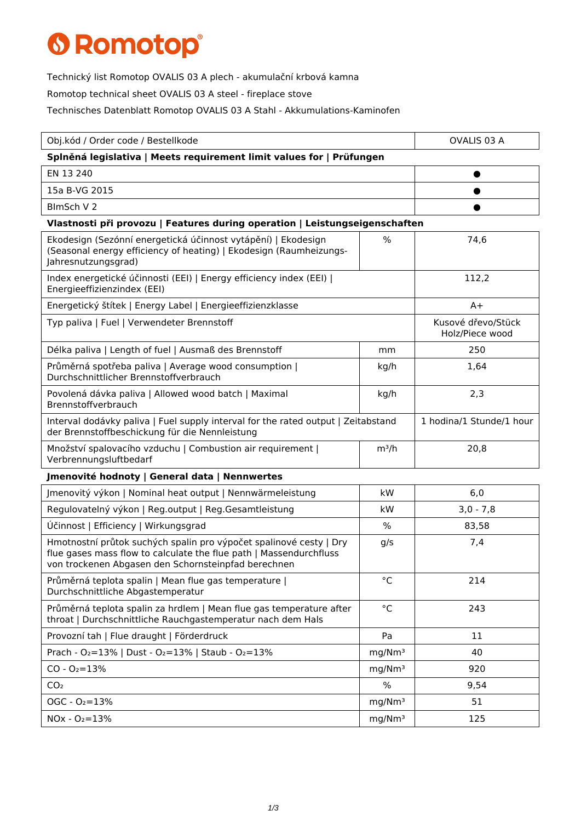## **6 Romotop®**

Technický list Romotop OVALIS 03 A plech - akumulační krbová kamna

Romotop technical sheet OVALIS 03 A steel - fireplace stove

Technisches Datenblatt Romotop OVALIS 03 A Stahl - Akkumulations-Kaminofen

| Obj.kód / Order code / Bestellkode                                                                                                                                                              |                    | OVALIS 03 A                           |  |  |
|-------------------------------------------------------------------------------------------------------------------------------------------------------------------------------------------------|--------------------|---------------------------------------|--|--|
| Splněná legislativa   Meets requirement limit values for   Prüfungen                                                                                                                            |                    |                                       |  |  |
| EN 13 240                                                                                                                                                                                       |                    |                                       |  |  |
| 15a B-VG 2015                                                                                                                                                                                   |                    |                                       |  |  |
| BlmSch V 2                                                                                                                                                                                      |                    |                                       |  |  |
| Vlastnosti při provozu   Features during operation   Leistungseigenschaften                                                                                                                     |                    |                                       |  |  |
| Ekodesign (Sezónní energetická účinnost vytápění)   Ekodesign<br>(Seasonal energy efficiency of heating)   Ekodesign (Raumheizungs-<br>Jahresnutzungsgrad)                                      | %                  | 74,6                                  |  |  |
| Index energetické účinnosti (EEI)   Energy efficiency index (EEI)  <br>Energieeffizienzindex (EEI)                                                                                              |                    | 112,2                                 |  |  |
| Energetický štítek   Energy Label   Energieeffizienzklasse                                                                                                                                      |                    | $A+$                                  |  |  |
| Typ paliva   Fuel   Verwendeter Brennstoff                                                                                                                                                      |                    | Kusové dřevo/Stück<br>Holz/Piece wood |  |  |
| Délka paliva   Length of fuel   Ausmaß des Brennstoff                                                                                                                                           | mm                 | 250                                   |  |  |
| Průměrná spotřeba paliva   Average wood consumption  <br>Durchschnittlicher Brennstoffverbrauch                                                                                                 | kg/h               | 1,64                                  |  |  |
| Povolená dávka paliva   Allowed wood batch   Maximal<br>Brennstoffverbrauch                                                                                                                     | kg/h               | 2,3                                   |  |  |
| Interval dodávky paliva   Fuel supply interval for the rated output   Zeitabstand<br>der Brennstoffbeschickung für die Nennleistung                                                             |                    | 1 hodina/1 Stunde/1 hour              |  |  |
| Množství spalovacího vzduchu   Combustion air requirement  <br>Verbrennungsluftbedarf                                                                                                           | $m^3/h$            | 20,8                                  |  |  |
| Jmenovité hodnoty   General data   Nennwertes                                                                                                                                                   |                    |                                       |  |  |
| Jmenovitý výkon   Nominal heat output   Nennwärmeleistung                                                                                                                                       | kW                 | 6,0                                   |  |  |
| Regulovatelný výkon   Reg.output   Reg.Gesamtleistung                                                                                                                                           | kW                 | $3,0 - 7,8$                           |  |  |
| Účinnost   Efficiency   Wirkungsgrad                                                                                                                                                            | $\%$               | 83,58                                 |  |  |
| Hmotnostní průtok suchých spalin pro výpočet spalinové cesty   Dry<br>flue gases mass flow to calculate the flue path   Massendurchfluss<br>von trockenen Abgasen den Schornsteinpfad berechnen | g/s                | 7,4                                   |  |  |
| Průměrná teplota spalin   Mean flue gas temperature  <br>Durchschnittliche Abgastemperatur                                                                                                      | $^{\circ}$ C       | 214                                   |  |  |
| Průměrná teplota spalin za hrdlem   Mean flue gas temperature after<br>throat   Durchschnittliche Rauchgastemperatur nach dem Hals                                                              | $^{\circ}$ C       | 243                                   |  |  |
| Provozní tah   Flue draught   Förderdruck                                                                                                                                                       | Pa                 | 11                                    |  |  |
| Prach - O <sub>2</sub> =13%   Dust - O <sub>2</sub> =13%   Staub - O <sub>2</sub> =13%                                                                                                          | mg/Nm <sup>3</sup> | 40                                    |  |  |
| $CO - O_2 = 13%$                                                                                                                                                                                | mg/Nm <sup>3</sup> | 920                                   |  |  |
| CO <sub>2</sub>                                                                                                                                                                                 | %                  | 9,54                                  |  |  |
| $OGC - O2=13%$                                                                                                                                                                                  | mg/Nm <sup>3</sup> | 51                                    |  |  |
| $NOx - O_2 = 13%$                                                                                                                                                                               | mg/Nm <sup>3</sup> | 125                                   |  |  |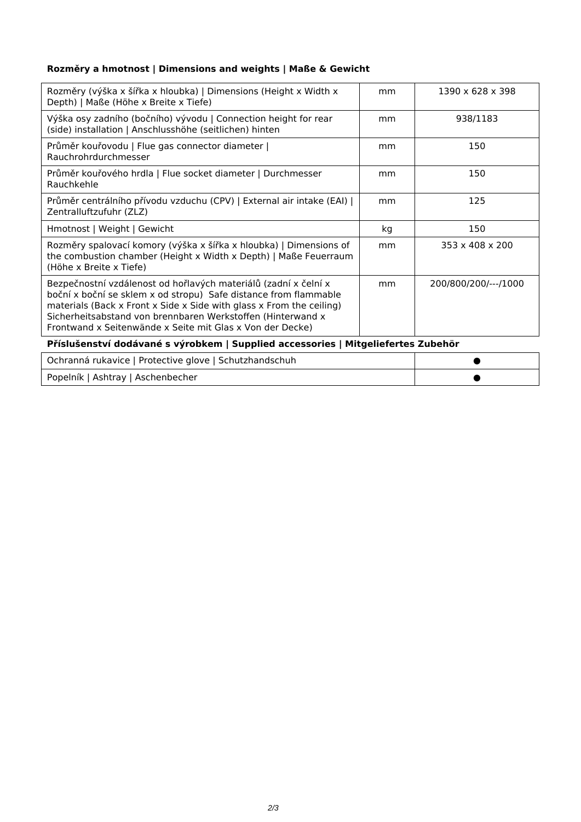## **Rozměry a hmotnost | Dimensions and weights | Maße & Gewicht**

| Rozměry (výška x šířka x hloubka)   Dimensions (Height x Width x<br>Depth)   Maße (Höhe x Breite x Tiefe)                                                                                                                                                                                                                               | mm | $1390 \times 628 \times 398$ |  |
|-----------------------------------------------------------------------------------------------------------------------------------------------------------------------------------------------------------------------------------------------------------------------------------------------------------------------------------------|----|------------------------------|--|
| Výška osy zadního (bočního) vývodu   Connection height for rear<br>(side) installation   Anschlusshöhe (seitlichen) hinten                                                                                                                                                                                                              | mm | 938/1183                     |  |
| Průměr kouřovodu   Flue gas connector diameter  <br>Rauchrohrdurchmesser                                                                                                                                                                                                                                                                | mm | 150                          |  |
| Průměr kouřového hrdla   Flue socket diameter   Durchmesser<br>Rauchkehle                                                                                                                                                                                                                                                               | mm | 150                          |  |
| Průměr centrálního přívodu vzduchu (CPV)   External air intake (EAI)  <br>Zentralluftzufuhr (ZLZ)                                                                                                                                                                                                                                       | mm | 125                          |  |
| Hmotnost   Weight   Gewicht                                                                                                                                                                                                                                                                                                             | kg | 150                          |  |
| Rozměry spalovací komory (výška x šířka x hloubka)   Dimensions of<br>the combustion chamber (Height x Width x Depth)   Maße Feuerraum<br>(Höhe x Breite x Tiefe)                                                                                                                                                                       | mm | 353 x 408 x 200              |  |
| Bezpečnostní vzdálenost od hořlavých materiálů (zadní x čelní x<br>boční x boční se sklem x od stropu) Safe distance from flammable<br>materials (Back x Front x Side x Side with glass x From the ceiling)<br>Sicherheitsabstand von brennbaren Werkstoffen (Hinterwand x<br>Frontwand x Seitenwände x Seite mit Glas x Von der Decke) | mm | 200/800/200/---/1000         |  |
| Příslušenství dodávané s výrobkem   Supplied accessories   Mitgeliefertes Zubehör                                                                                                                                                                                                                                                       |    |                              |  |

| Ochranná rukavice   Protective glove   Schutzhandschuh |  |
|--------------------------------------------------------|--|
| Popelník   Ashtray   Aschenbecher                      |  |